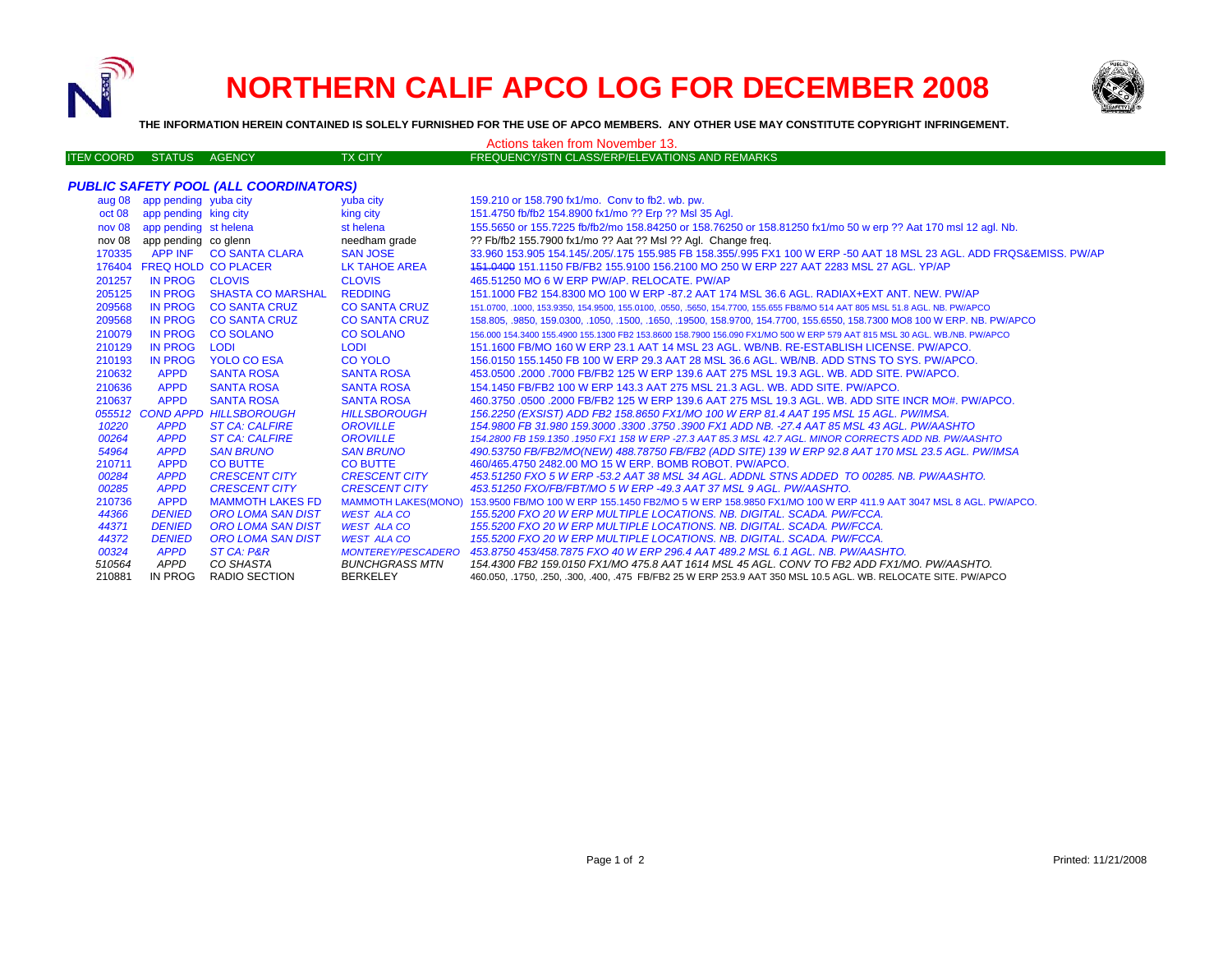

# **NORTHERN CALIF APCO LOG FOR DECEMBER 2008**



**THE INFORMATION HEREIN CONTAINED IS SOLELY FURNISHED FOR THE USE OF APCO MEMBERS. ANY OTHER USE MAY CONSTITUTE COPYRIGHT INFRINGEMENT.**

| Actions taken from November 13.              |                              |                               |                            |                                                                                                                             |  |  |  |
|----------------------------------------------|------------------------------|-------------------------------|----------------------------|-----------------------------------------------------------------------------------------------------------------------------|--|--|--|
| <b>ITEN COORD</b>                            | STATUS AGENCY                |                               | <b>TX CITY</b>             | FREQUENCY/STN CLASS/ERP/ELEVATIONS AND REMARKS                                                                              |  |  |  |
|                                              |                              |                               |                            |                                                                                                                             |  |  |  |
| <b>PUBLIC SAFETY POOL (ALL COORDINATORS)</b> |                              |                               |                            |                                                                                                                             |  |  |  |
|                                              | aug 08 app pending yuba city |                               | yuba city                  | 159.210 or 158.790 fx1/mo. Conv to fb2, wb. pw.                                                                             |  |  |  |
|                                              | oct 08 app pending king city |                               | king city                  | 151.4750 fb/fb2 154.8900 fx1/mo ?? Erp ?? Msl 35 Agl.                                                                       |  |  |  |
|                                              | nov 08 app pending st helena |                               | st helena                  | 155.5650 or 155.7225 fb/fb2/mo 158.84250 or 158.76250 or 158.81250 fx1/mo 50 w erp ?? Aat 170 msl 12 agl. Nb.               |  |  |  |
|                                              | nov 08 app pending co glenn  |                               | needham grade              | ?? Fb/fb2 155.7900 fx1/mo ?? Aat ?? Msl ?? Agl. Change freq.                                                                |  |  |  |
|                                              |                              | 170335 APP INF CO SANTA CLARA | <b>SAN JOSE</b>            | 33.960 153.905 154.145/.205/.175 155.985 FB 158.355/.995 FX1 100 W ERP -50 AAT 18 MSL 23 AGL. ADD FRQS&EMISS. PW/AP         |  |  |  |
|                                              |                              | 176404 FREQ HOLD CO PLACER    | <b>LK TAHOE AREA</b>       | 151,0400 151,1150 FB/FB2 155,9100 156,2100 MO 250 W ERP 227 AAT 2283 MSL 27 AGL. YP/AP                                      |  |  |  |
| 201257                                       | IN PROG CLOVIS               |                               | <b>CLOVIS</b>              | 465.51250 MO 6 W ERP PW/AP, RELOCATE, PW/AP                                                                                 |  |  |  |
| 205125                                       | <b>IN PROG</b>               | <b>SHASTA CO MARSHAL</b>      | <b>REDDING</b>             | 151,1000 FB2 154,8300 MO 100 W ERP -87,2 AAT 174 MSL 36.6 AGL, RADIAX+EXT ANT, NEW, PW/AP                                   |  |  |  |
| 209568                                       | <b>IN PROG</b>               | <b>CO SANTA CRUZ</b>          | <b>CO SANTA CRUZ</b>       | 151.0700, .1000, 153.9350, 154.9500, 155.0100, .0550, .5650, 154.7700, 155.655 FB8/MO 514 AAT 805 MSL 51.8 AGL. NB. PW/APCO |  |  |  |
| 209568                                       | <b>IN PROG</b>               | <b>CO SANTA CRUZ</b>          | <b>CO SANTA CRUZ</b>       | 158.805, 9850, 159.0300, 1050, 1500, 1650, 19500, 158.9700, 154.7700, 155.6550, 158.7300 MO8 100 W ERP. NB. PW/APCO         |  |  |  |
| 210079                                       |                              | IN PROG CO SOLANO             | <b>CO SOLANO</b>           | 156,000 154,3400 155,4900 155,1300 FB2 153,8600 158,7900 156,090 FX1/MO 500 W ERP 579 AAT 815 MSL 30 AGL, WB./NB, PW/APCO   |  |  |  |
| 210129                                       | <b>IN PROG</b>               | <b>LODI</b>                   | <b>LODI</b>                | 151.1600 FB/MO 160 W ERP 23.1 AAT 14 MSL 23 AGL, WB/NB, RE-ESTABLISH LICENSE, PW/APCO,                                      |  |  |  |
| 210193                                       | <b>IN PROG</b>               | <b>YOLO CO ESA</b>            | <b>CO YOLO</b>             | 156.0150 155.1450 FB 100 W ERP 29.3 AAT 28 MSL 36.6 AGL. WB/NB. ADD STNS TO SYS. PW/APCO.                                   |  |  |  |
| 210632                                       | <b>APPD</b>                  | <b>SANTA ROSA</b>             | <b>SANTA ROSA</b>          | 453,0500 .2000 .7000 FB/FB2 125 W ERP 139.6 AAT 275 MSL 19.3 AGL, WB, ADD SITE, PW/APCO,                                    |  |  |  |
| 210636                                       | <b>APPD</b>                  | <b>SANTA ROSA</b>             | <b>SANTA ROSA</b>          | 154.1450 FB/FB2 100 W ERP 143.3 AAT 275 MSL 21.3 AGL, WB, ADD SITE, PW/APCO,                                                |  |  |  |
| 210637                                       | <b>APPD</b>                  | <b>SANTA ROSA</b>             | <b>SANTA ROSA</b>          | 460.3750 .0500 .2000 FB/FB2 125 W ERP 139.6 AAT 275 MSL 19.3 AGL. WB. ADD SITE INCR MO#. PW/APCO.                           |  |  |  |
|                                              |                              | 055512 COND APPD HILLSBOROUGH | <b>HILLSBOROUGH</b>        | 156.2250 (EXSIST) ADD FB2 158.8650 FX1/MO 100 W ERP 81.4 AAT 195 MSL 15 AGL. PW/IMSA.                                       |  |  |  |
| 10220                                        | <b>APPD</b>                  | <b>ST CA: CALFIRE</b>         | <b>OROVILLE</b>            | 154,9800 FB 31,980 159,3000 .3300 .3750 .3900 FX1 ADD NB. -27.4 AAT 85 MSL 43 AGL. PW/AASHTO                                |  |  |  |
| 00264                                        | <b>APPD</b>                  | <b>ST CA: CALFIRE</b>         | <b>OROVILLE</b>            | 154.2800 FB 159.1350 .1950 FX1 158 W ERP -27.3 AAT 85.3 MSL 42.7 AGL. MINOR CORRECTS ADD NB. PW/AASHTO                      |  |  |  |
| 54964                                        | <b>APPD</b>                  | <b>SAN BRUNO</b>              | <b>SAN BRUNO</b>           | 490.53750 FB/FB2/MO(NEW) 488.78750 FB/FB2 (ADD SITE) 139 W ERP 92.8 AAT 170 MSL 23.5 AGL. PW/IMSA                           |  |  |  |
| 210711                                       | <b>APPD</b>                  | <b>CO BUTTE</b>               | <b>CO BUTTE</b>            | 460/465.4750 2482.00 MO 15 W ERP. BOMB ROBOT, PW/APCO.                                                                      |  |  |  |
| 00284                                        | <b>APPD</b>                  | <b>CRESCENT CITY</b>          | <b>CRESCENT CITY</b>       | 453.51250 FXO 5 W ERP -53.2 AAT 38 MSL 34 AGL. ADDNL STNS ADDED TO 00285. NB. PW/AASHTO.                                    |  |  |  |
| 00285                                        | <b>APPD</b>                  | <b>CRESCENT CITY</b>          | <b>CRESCENT CITY</b>       | 453.51250 FXO/FB/FBT/MO 5 W ERP -49.3 AAT 37 MSL 9 AGL. PW/AASHTO.                                                          |  |  |  |
| 210736                                       | <b>APPD</b>                  | <b>MAMMOTH LAKES FD</b>       | <b>MAMMOTH LAKES(MONO)</b> | 153.9500 FB/MO 100 W ERP 155.1450 FB2/MO 5 W ERP 158.9850 FX1/MO 100 W ERP 411.9 AAT 3047 MSL 8 AGL. PW/APCO.               |  |  |  |
| 44366                                        | <b>DENIED</b>                | <b>ORO LOMA SAN DIST</b>      | <b>WEST ALA CO</b>         | 155.5200 FXO 20 W ERP MULTIPLE LOCATIONS, NB, DIGITAL, SCADA, PW/FCCA,                                                      |  |  |  |
| 44371                                        | <b>DENIED</b>                | <b>ORO LOMA SAN DIST</b>      | <b>WEST ALA CO</b>         | 155.5200 FXO 20 W ERP MULTIPLE LOCATIONS, NB, DIGITAL, SCADA, PW/FCCA,                                                      |  |  |  |
| 44372                                        | <b>DENIED</b>                | <b>ORO LOMA SAN DIST</b>      | <b>WEST ALA CO</b>         | 155.5200 FXO 20 W ERP MULTIPLE LOCATIONS. NB. DIGITAL. SCADA. PW/FCCA.                                                      |  |  |  |
| 00324                                        | <b>APPD</b>                  | ST CA: P&R                    | <b>MONTEREY/PESCADERO</b>  | 453.8750 453/458.7875 FXO 40 W ERP 296.4 AAT 489.2 MSL 6.1 AGL, NB, PW/AASHTO,                                              |  |  |  |
| 510564                                       | APPD                         | CO SHASTA                     | <b>BUNCHGRASS MTN</b>      | 154.4300 FB2 159.0150 FX1/MO 475.8 AAT 1614 MSL 45 AGL. CONV TO FB2 ADD FX1/MO. PW/AASHTO.                                  |  |  |  |
| 210881                                       | IN PROG                      | RADIO SECTION                 | <b>BERKELEY</b>            | 460.050, .1750, .250, .300, .400, .475 FB/FB2 25 W ERP 253.9 AAT 350 MSL 10.5 AGL. WB. RELOCATE SITE. PW/APCO               |  |  |  |